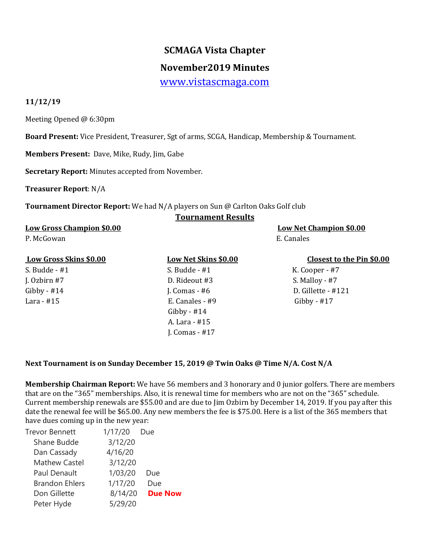# **SCMAGA Vista Chapter**

## **November2019 Minutes**

[www.vistascmaga.com](http://www.vistascmaga.com/)

#### **11/12/19**

Meeting Opened @ 6:30pm

**Board Present:** Vice President, Treasurer, Sgt of arms, SCGA, Handicap, Membership & Tournament.

**Members Present:** Dave, Mike, Rudy, Jim, Gabe

**Secretary Report:** Minutes accepted from November.

**Treasurer Report**: N/A

**Tournament Director Report:** We had N/A players on Sun @ Carlton Oaks Golf club

#### **Tournament Results**

#### **Low Gross Champion \$0.00 Low Net Champion \$0.00**

P. McGowan E. Canales

### **Low Gross Skins \$0.00 Low Net Skins \$0.00 Closest to the Pin \$0.00**

S. Budde - #1 S. Budde - #1 K. Cooper - #7 J. Ozbirn #7 D. Rideout #3 S. Malloy - #7 Lara - #15 E. Canales - #9 Gibby - #17 Gibby - #14 A. Lara - #15 J. Comas - #17

Gibby -  $\#14$   $\qquad \qquad$  J. Comas -  $\#6$   $\qquad \qquad$  D. Gillette -  $\#121$ 

### **Next Tournament is on Sunday December 15, 2019 @ Twin Oaks @ Time N/A. Cost N/A**

**Membership Chairman Report:** We have 56 members and 3 honorary and 0 junior golfers. There are members that are on the "365" memberships. Also, it is renewal time for members who are not on the "365" schedule. Current membership renewals are \$55.00 and are due to Jim Ozbirn by December 14, 2019. If you pay after this date the renewal fee will be \$65.00. Any new members the fee is \$75.00. Here is a list of the 365 members that have dues coming up in the new year:

| Trevor Bennett        | 1/17/20 | Due            |
|-----------------------|---------|----------------|
| Shane Budde           | 3/12/20 |                |
| Dan Cassady           | 4/16/20 |                |
| <b>Mathew Castel</b>  | 3/12/20 |                |
| Paul Denault          | 1/03/20 | Due            |
| <b>Brandon Ehlers</b> | 1/17/20 | Due            |
| Don Gillette          | 8/14/20 | <b>Due Now</b> |
| Peter Hyde            | 5/29/20 |                |